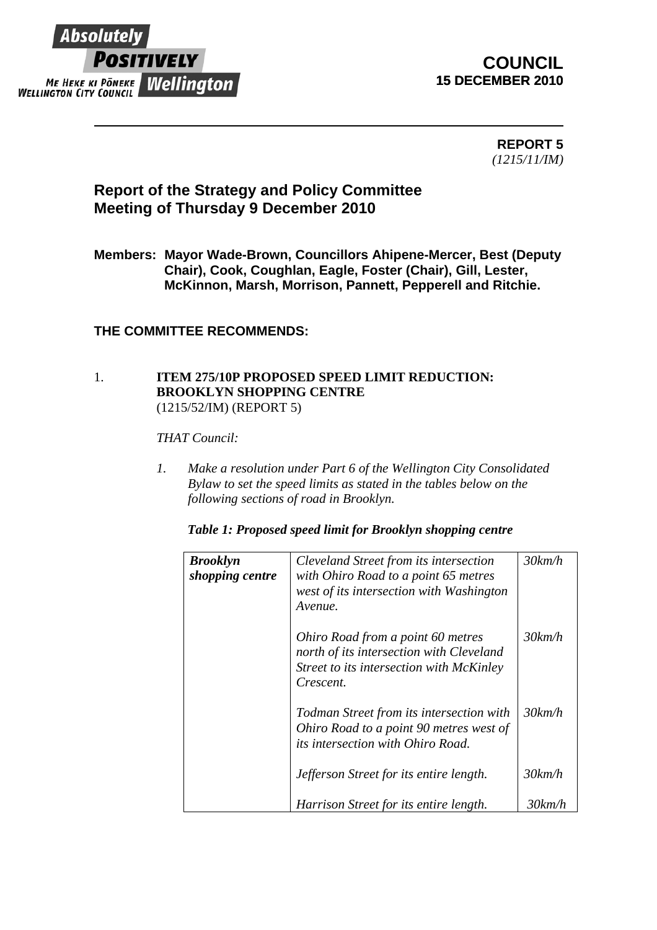

## **COUNCIL 15 DECEMBER 2010**

**REPORT 5**  *(1215/11/IM)* 

# **Report of the Strategy and Policy Committee Meeting of Thursday 9 December 2010**

**Members: Mayor Wade-Brown, Councillors Ahipene-Mercer, Best (Deputy Chair), Cook, Coughlan, Eagle, Foster (Chair), Gill, Lester, McKinnon, Marsh, Morrison, Pannett, Pepperell and Ritchie.** 

### **THE COMMITTEE RECOMMENDS:**

#### 1. **ITEM 275/10P PROPOSED SPEED LIMIT REDUCTION: BROOKLYN SHOPPING CENTRE**  (1215/52/IM) (REPORT 5)

*THAT Council:* 

*1. Make a resolution under Part 6 of the Wellington City Consolidated Bylaw to set the speed limits as stated in the tables below on the following sections of road in Brooklyn.* 

| <b>Brooklyn</b><br>shopping centre | Cleveland Street from its intersection<br>with Ohiro Road to a point 65 metres<br>west of its intersection with Washington<br>Avenue.  | 30km/h    |
|------------------------------------|----------------------------------------------------------------------------------------------------------------------------------------|-----------|
|                                    | Ohiro Road from a point 60 metres<br>north of its intersection with Cleveland<br>Street to its intersection with McKinley<br>Crescent. | 30km/h    |
|                                    | Todman Street from its intersection with<br>Ohiro Road to a point 90 metres west of<br>its intersection with Ohiro Road.               | $30$ km/h |
|                                    | Jefferson Street for its entire length.                                                                                                | $30$ km/h |
|                                    | Harrison Street for its entire length.                                                                                                 | 30km/h    |